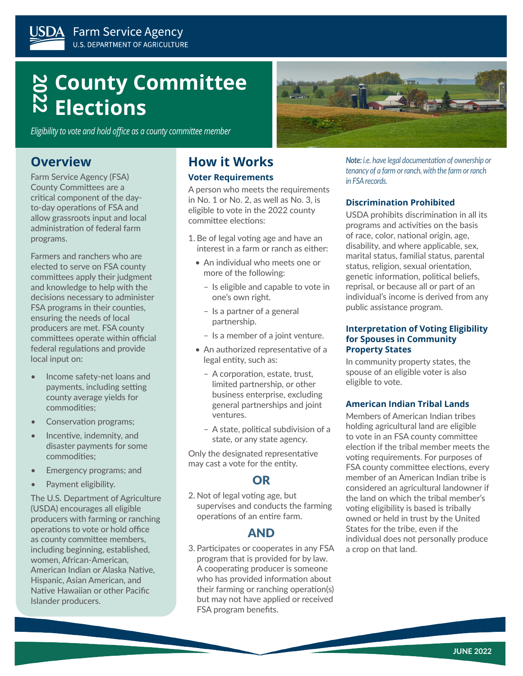# **2022 County Committee Elections**

*Eligibility to vote and hold office as a county committee member*

### **Overview**

Farm Service Agency (FSA) County Committees are a critical component of the dayto-day operations of FSA and allow grassroots input and local administration of federal farm programs.

Farmers and ranchers who are elected to serve on FSA county committees apply their judgment and knowledge to help with the decisions necessary to administer FSA programs in their counties, ensuring the needs of local producers are met. FSA county committees operate within official federal regulations and provide local input on:

- Income safety-net loans and payments, including setting county average yields for commodities;
- Conservation programs;
- Incentive, indemnity, and disaster payments for some commodities;
- Emergency programs; and
- Payment eligibility.

The U.S. Department of Agriculture (USDA) encourages all eligible producers with farming or ranching operations to vote or hold office as county committee members, including beginning, established, women, African-American, American Indian or Alaska Native, Hispanic, Asian American, and Native Hawaiian or other Pacific Islander producers.

# **How it Works**

#### **Voter Requirements**

A person who meets the requirements in No. 1 or No. 2, as well as No. 3, is eligible to vote in the 2022 county committee elections:

- 1. Be of legal voting age and have an interest in a farm or ranch as either:
	- An individual who meets one or more of the following:
		- Is eligible and capable to vote in one's own right.
		- Is a partner of a general partnership.
		- Is a member of a joint venture.
	- An authorized representative of a legal entity, such as:
		- A corporation, estate, trust, limited partnership, or other business enterprise, excluding general partnerships and joint ventures.
		- A state, political subdivision of a state, or any state agency.

Only the designated representative may cast a vote for the entity.

### OR

2. Not of legal voting age, but supervises and conducts the farming operations of an entire farm.

### AND

3. Participates or cooperates in any FSA program that is provided for by law. A cooperating producer is someone who has provided information about their farming or ranching operation(s) but may not have applied or received FSA program benefits.

*Note: i.e. have legal documentation of ownership or tenancy of a farm or ranch, with the farm or ranch* 

#### **Discrimination Prohibited**

*in FSA records.*

USDA prohibits discrimination in all its programs and activities on the basis of race, color, national origin, age, disability, and where applicable, sex, marital status, familial status, parental status, religion, sexual orientation, genetic information, political beliefs, reprisal, or because all or part of an individual's income is derived from any public assistance program.

#### **Interpretation of Voting Eligibility for Spouses in Community Property States**

In community property states, the spouse of an eligible voter is also eligible to vote.

#### **American Indian Tribal Lands**

Members of American Indian tribes holding agricultural land are eligible to vote in an FSA county committee election if the tribal member meets the voting requirements. For purposes of FSA county committee elections, every member of an American Indian tribe is considered an agricultural landowner if the land on which the tribal member's voting eligibility is based is tribally owned or held in trust by the United States for the tribe, even if the individual does not personally produce a crop on that land.